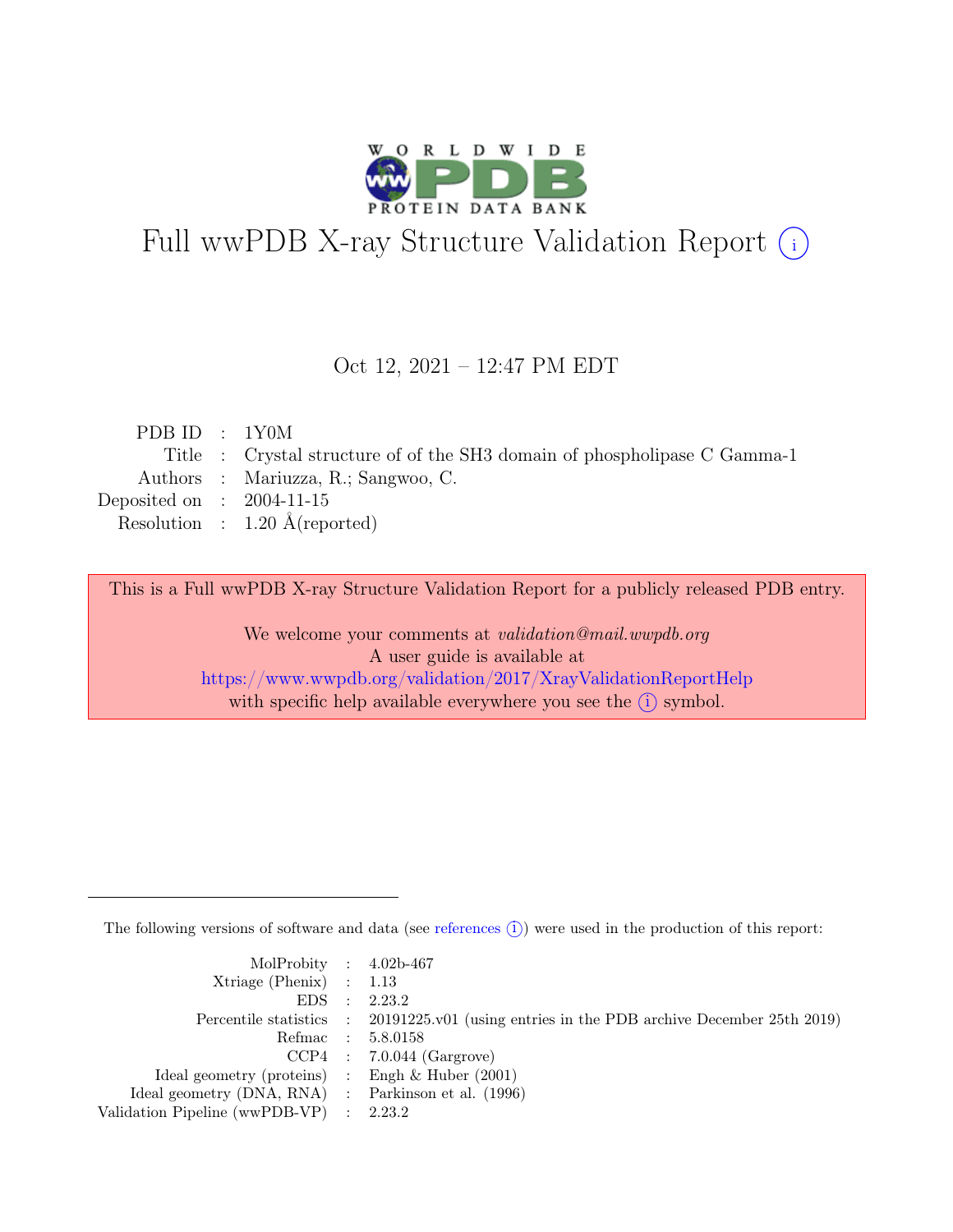

# Full wwPDB X-ray Structure Validation Report  $(i)$

#### Oct 12, 2021 – 12:47 PM EDT

| PDBID : 1Y0M                |                                                                           |
|-----------------------------|---------------------------------------------------------------------------|
|                             | Title : Crystal structure of of the SH3 domain of phospholipase C Gamma-1 |
|                             | Authors : Mariuzza, R.; Sangwoo, C.                                       |
| Deposited on : $2004-11-15$ |                                                                           |
|                             | Resolution : $1.20 \text{ Å}$ (reported)                                  |
|                             |                                                                           |

This is a Full wwPDB X-ray Structure Validation Report for a publicly released PDB entry.

We welcome your comments at validation@mail.wwpdb.org A user guide is available at <https://www.wwpdb.org/validation/2017/XrayValidationReportHelp> with specific help available everywhere you see the  $(i)$  symbol.

The following versions of software and data (see [references](https://www.wwpdb.org/validation/2017/XrayValidationReportHelp#references)  $(i)$ ) were used in the production of this report:

| MolProbity : $4.02b-467$                            |                                                                                            |
|-----------------------------------------------------|--------------------------------------------------------------------------------------------|
| $Xtriangle (Phenix)$ : 1.13                         |                                                                                            |
|                                                     | EDS : 2.23.2                                                                               |
|                                                     | Percentile statistics : 20191225.v01 (using entries in the PDB archive December 25th 2019) |
|                                                     | Refmac : 5.8.0158                                                                          |
|                                                     | $CCP4$ : 7.0.044 (Gargrove)                                                                |
| Ideal geometry (proteins) : Engh $\&$ Huber (2001)  |                                                                                            |
| Ideal geometry (DNA, RNA) : Parkinson et al. (1996) |                                                                                            |
| Validation Pipeline (wwPDB-VP) : $2.23.2$           |                                                                                            |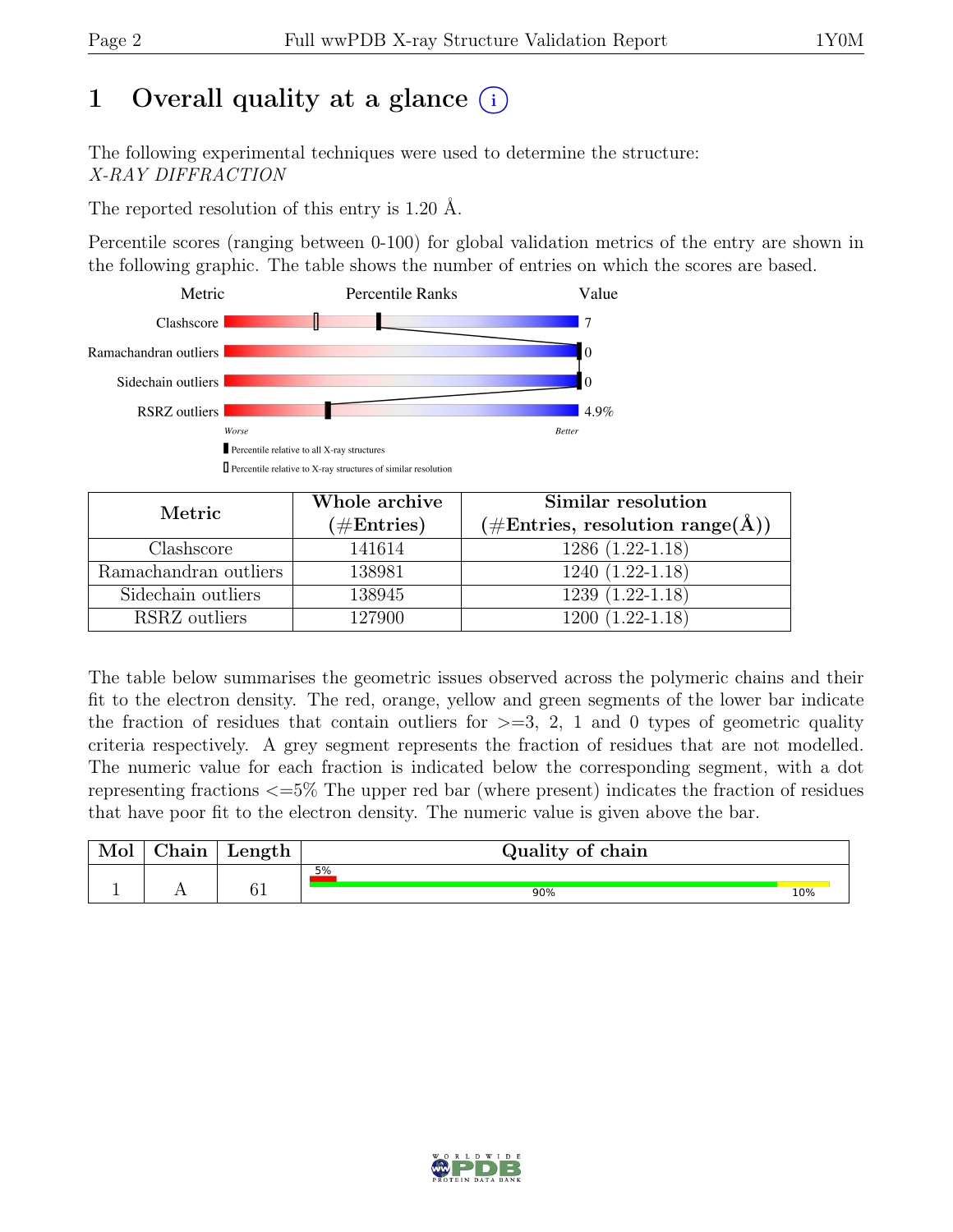# 1 Overall quality at a glance  $(i)$

The following experimental techniques were used to determine the structure: X-RAY DIFFRACTION

The reported resolution of this entry is 1.20 Å.

Percentile scores (ranging between 0-100) for global validation metrics of the entry are shown in the following graphic. The table shows the number of entries on which the scores are based.



| Metric                | Whole archive | Similar resolution                                           |  |  |
|-----------------------|---------------|--------------------------------------------------------------|--|--|
|                       | $(\#Entries)$ | $(\# \text{Entries}, \text{ resolution } \text{range}(\AA))$ |  |  |
| Clashscore            | 141614        | $1286(1.22-1.18)$                                            |  |  |
| Ramachandran outliers | 138981        | $1240(1.22-1.18)$                                            |  |  |
| Sidechain outliers    | 138945        | $1239(1.22-1.18)$                                            |  |  |
| RSRZ outliers         | 127900        | $1200(1.22-1.18)$                                            |  |  |

The table below summarises the geometric issues observed across the polymeric chains and their fit to the electron density. The red, orange, yellow and green segments of the lower bar indicate the fraction of residues that contain outliers for  $>=$  3, 2, 1 and 0 types of geometric quality criteria respectively. A grey segment represents the fraction of residues that are not modelled. The numeric value for each fraction is indicated below the corresponding segment, with a dot representing fractions <=5% The upper red bar (where present) indicates the fraction of residues that have poor fit to the electron density. The numeric value is given above the bar.

| Mol | $\sim$ 1<br>hoin<br>паш | Length                | Quality of chain |     |
|-----|-------------------------|-----------------------|------------------|-----|
|     |                         |                       | 5%               |     |
|     |                         | $\mathcal{C}$ 1<br>◡⊥ | 90%              | 10% |

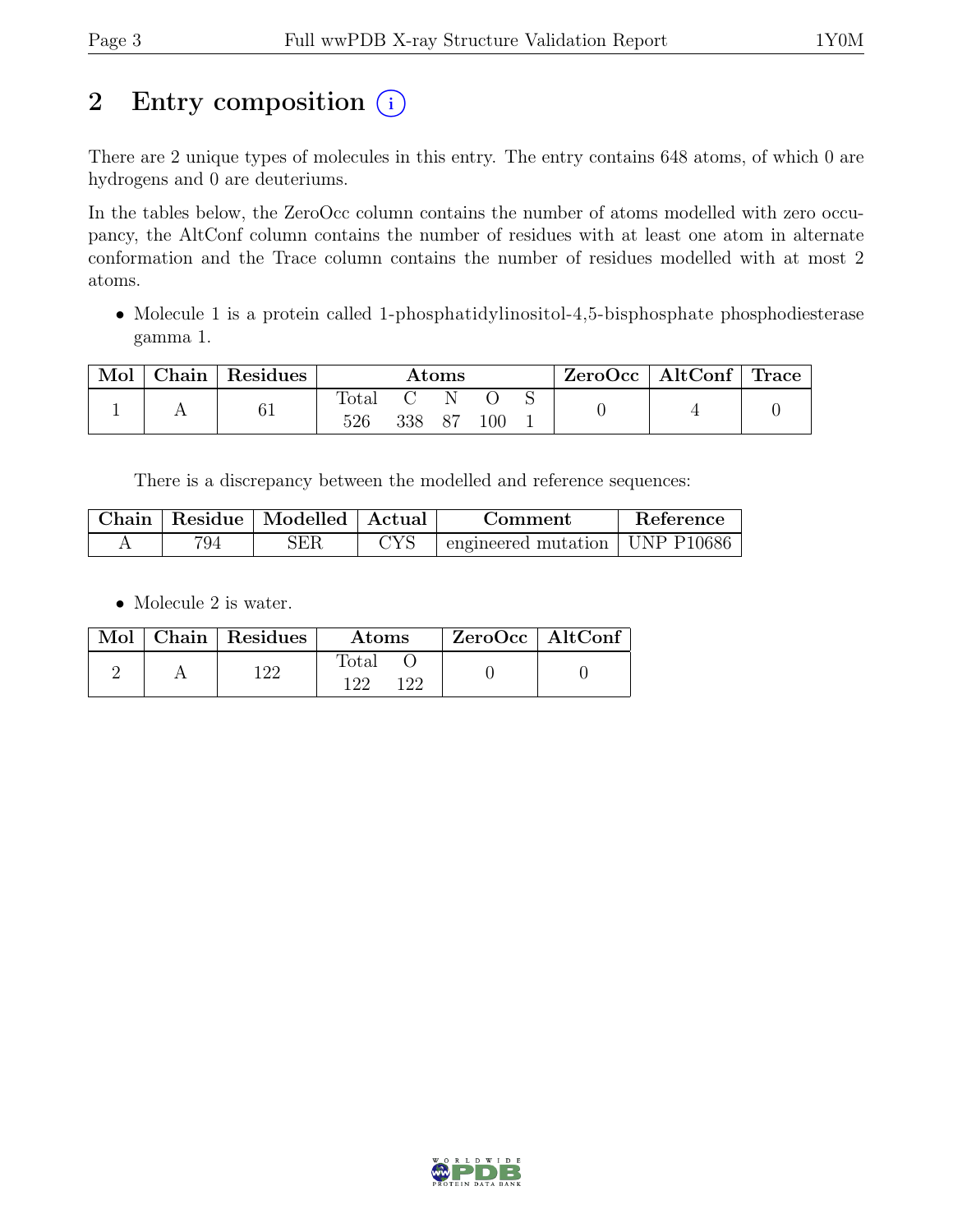# 2 Entry composition  $(i)$

There are 2 unique types of molecules in this entry. The entry contains 648 atoms, of which 0 are hydrogens and 0 are deuteriums.

In the tables below, the ZeroOcc column contains the number of atoms modelled with zero occupancy, the AltConf column contains the number of residues with at least one atom in alternate conformation and the Trace column contains the number of residues modelled with at most 2 atoms.

• Molecule 1 is a protein called 1-phosphatidylinositol-4,5-bisphosphate phosphodiesterase gamma 1.

| Mol | Chain Residues | Atoms                 |     |             | $ZeroOcc \mid AltConf \mid Trace$ |  |  |  |
|-----|----------------|-----------------------|-----|-------------|-----------------------------------|--|--|--|
|     | 61             | $_{\rm Total}$<br>526 | 338 | - N<br>- 87 | 100                               |  |  |  |

There is a discrepancy between the modelled and reference sequences:

| Chain |     | Residue   Modelled   Actual |                    | Comment                                   | Reference |
|-------|-----|-----------------------------|--------------------|-------------------------------------------|-----------|
|       | 794 | 3ER                         | $\gamma_{\rm{VC}}$ | $\alpha$ engineered mutation   UNP P10686 |           |

• Molecule 2 is water.

|  | Mol   Chain   Residues | <b>Atoms</b>                   | $ZeroOcc \mid AltConf$ |
|--|------------------------|--------------------------------|------------------------|
|  | 1 ດດ                   | $\text{Total}$<br>1 ດດ<br>1 ດດ |                        |

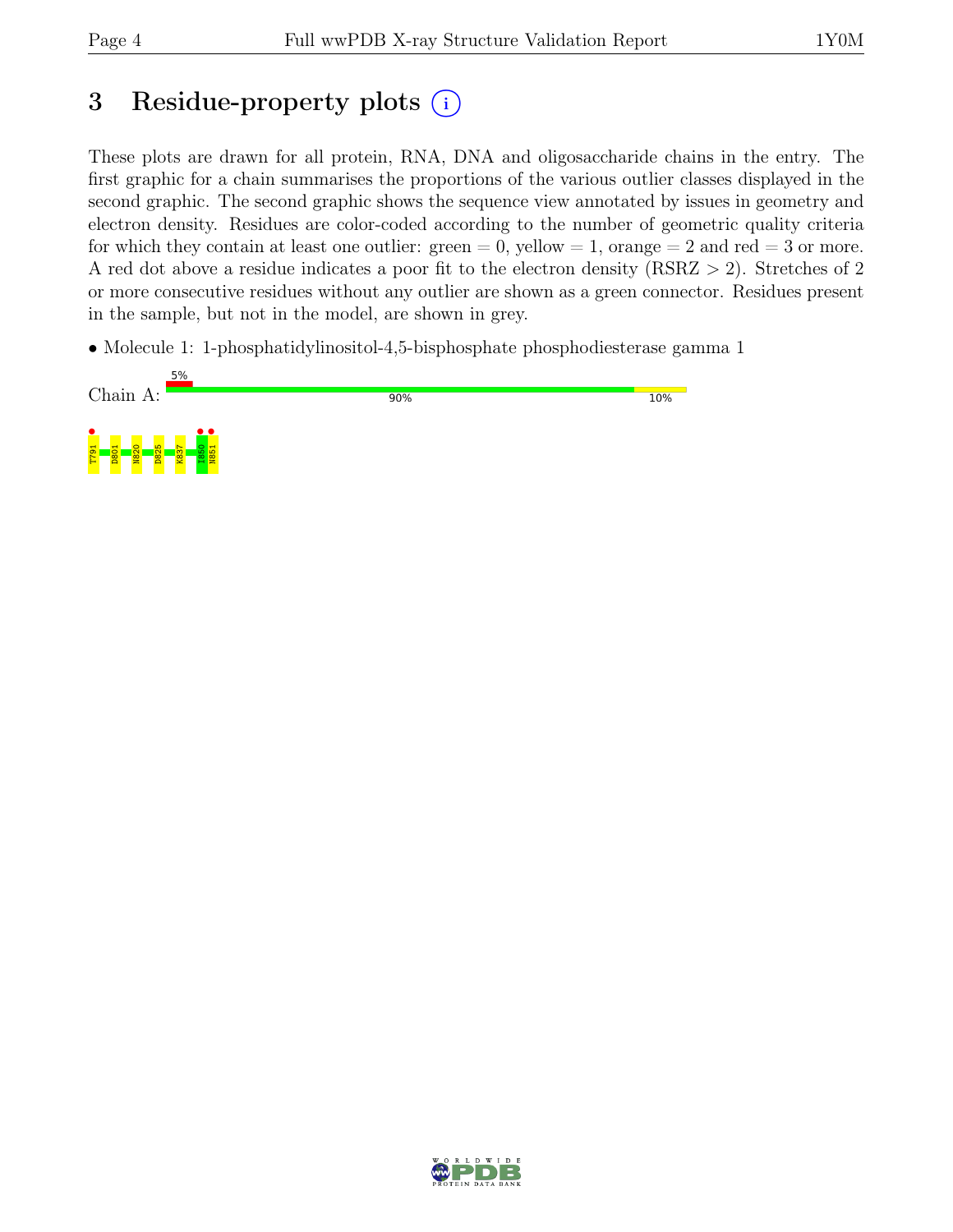# 3 Residue-property plots  $(i)$

These plots are drawn for all protein, RNA, DNA and oligosaccharide chains in the entry. The first graphic for a chain summarises the proportions of the various outlier classes displayed in the second graphic. The second graphic shows the sequence view annotated by issues in geometry and electron density. Residues are color-coded according to the number of geometric quality criteria for which they contain at least one outlier:  $green = 0$ , yellow  $= 1$ , orange  $= 2$  and red  $= 3$  or more. A red dot above a residue indicates a poor fit to the electron density (RSRZ > 2). Stretches of 2 or more consecutive residues without any outlier are shown as a green connector. Residues present in the sample, but not in the model, are shown in grey.

• Molecule 1: 1-phosphatidylinositol-4,5-bisphosphate phosphodiesterase gamma 1



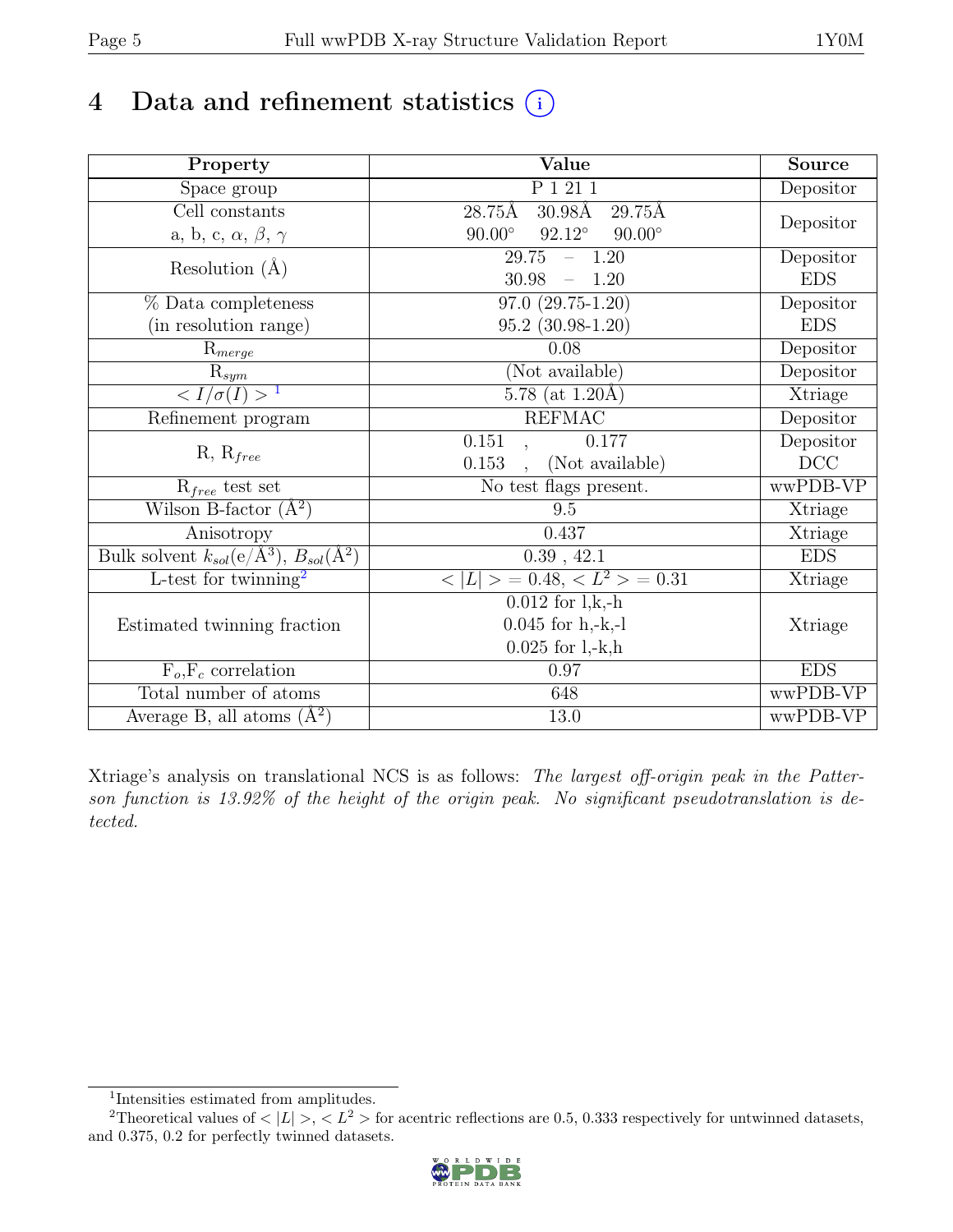## 4 Data and refinement statistics  $(i)$

| Property                                                             | Value                                            | <b>Source</b> |
|----------------------------------------------------------------------|--------------------------------------------------|---------------|
| Space group                                                          | P 1 21 1                                         | Depositor     |
| Cell constants                                                       | 28.75Å<br>$30.98\text{\AA}$<br>$29.75\text{\AA}$ |               |
| a, b, c, $\alpha$ , $\beta$ , $\gamma$                               | $92.12^\circ$<br>$90.00^\circ$<br>$90.00^\circ$  | Depositor     |
| Resolution $(A)$                                                     | $\overline{29.75 - 1.20}$                        | Depositor     |
|                                                                      | 30.98<br>$-1.20$                                 | <b>EDS</b>    |
| % Data completeness                                                  | $97.0(29.75-1.20)$                               | Depositor     |
| (in resolution range)                                                | $95.2(30.98-1.20)$                               | <b>EDS</b>    |
| $R_{merge}$                                                          | 0.08                                             | Depositor     |
| $\mathbf{R}_{sym}$                                                   | (Not available)                                  | Depositor     |
| $\langle I/\sigma(I) \rangle^{-1}$                                   | $5.78$ (at 1.20Å)                                | Xtriage       |
| Refinement program                                                   | <b>REFMAC</b>                                    | Depositor     |
| $R, R_{free}$                                                        | $\overline{0.1}51$<br>0.177<br>$\cdot$ ,         | Depositor     |
|                                                                      | (Not available)<br>0.153<br>$\sim$               | DCC           |
| $R_{free}$ test set                                                  | No test flags present.                           | wwPDB-VP      |
| Wilson B-factor $(A^2)$                                              | 9.5                                              | Xtriage       |
| Anisotropy                                                           | 0.437                                            | Xtriage       |
| Bulk solvent $k_{sol}(e/\mathring{A}^3)$ , $B_{sol}(\mathring{A}^2)$ | 0.39, 42.1                                       | <b>EDS</b>    |
| L-test for twinning <sup>2</sup>                                     | $< L >$ = 0.48, $\langle L^2 \rangle$ = 0.31     | Xtriage       |
|                                                                      | $\overline{0.012}$ for l,k,-h                    |               |
| Estimated twinning fraction                                          | $0.045$ for $h,-k,-l$                            | Xtriage       |
|                                                                      | $0.025$ for $1, -k, h$                           |               |
| $F_o, F_c$ correlation                                               | 0.97                                             | <b>EDS</b>    |
| Total number of atoms                                                | 648                                              | wwPDB-VP      |
| Average B, all atoms $(A^2)$                                         | $13.0\,$                                         | wwPDB-VP      |

Xtriage's analysis on translational NCS is as follows: The largest off-origin peak in the Patterson function is 13.92% of the height of the origin peak. No significant pseudotranslation is detected.

<sup>&</sup>lt;sup>2</sup>Theoretical values of  $\langle |L| \rangle$ ,  $\langle L^2 \rangle$  for acentric reflections are 0.5, 0.333 respectively for untwinned datasets, and 0.375, 0.2 for perfectly twinned datasets.



<span id="page-4-1"></span><span id="page-4-0"></span><sup>1</sup> Intensities estimated from amplitudes.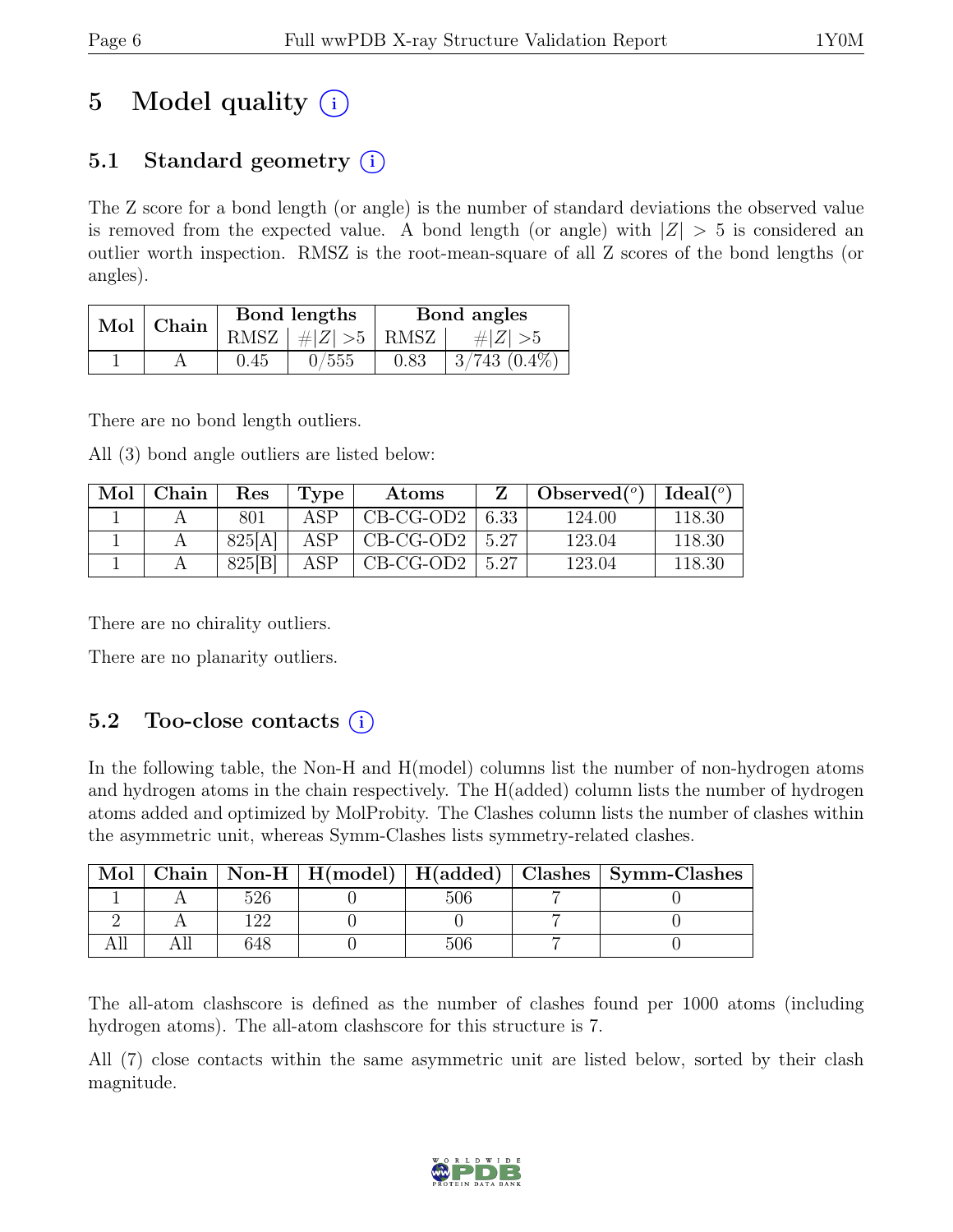# 5 Model quality  $(i)$

## 5.1 Standard geometry  $(i)$

The Z score for a bond length (or angle) is the number of standard deviations the observed value is removed from the expected value. A bond length (or angle) with  $|Z| > 5$  is considered an outlier worth inspection. RMSZ is the root-mean-square of all Z scores of the bond lengths (or angles).

| Mol | ' Chain |          | Bond lengths    | Bond angles |                   |  |
|-----|---------|----------|-----------------|-------------|-------------------|--|
|     |         |          | RMSZ $ #Z  > 5$ | RMSZ        | # $ Z  > 5$       |  |
|     |         | $0.45\,$ | 0/555           | 0.83        | $3/743$ $(0.4\%)$ |  |

There are no bond length outliers.

All (3) bond angle outliers are listed below:

| Mol | Chain | $\operatorname{Res}% \left( \mathcal{N}\right) \equiv\operatorname*{Res}\left( \mathcal{N}\right)$ | Type           | Atoms       |      | $\Theta$ Observed $({}^o)$ | Ideal(°) |
|-----|-------|----------------------------------------------------------------------------------------------------|----------------|-------------|------|----------------------------|----------|
|     |       | 801                                                                                                | ΔSΡ            | $CB-CG-OD2$ | 6.33 | 124.00                     | 118.30   |
|     |       | 825[A]                                                                                             | $\triangle$ SP | $CB-CG-OD2$ | 5.27 | 123.04                     | 118.30   |
|     |       | 825[B]                                                                                             | ASP            | $CB-CG-OD2$ | 5.27 | 123.04                     | 118.30   |

There are no chirality outliers.

There are no planarity outliers.

### 5.2 Too-close contacts  $(i)$

In the following table, the Non-H and H(model) columns list the number of non-hydrogen atoms and hydrogen atoms in the chain respectively. The H(added) column lists the number of hydrogen atoms added and optimized by MolProbity. The Clashes column lists the number of clashes within the asymmetric unit, whereas Symm-Clashes lists symmetry-related clashes.

| Mol |     |  | Chain   Non-H   H(model)   H(added)   Clashes   Symm-Clashes |
|-----|-----|--|--------------------------------------------------------------|
|     |     |  |                                                              |
|     |     |  |                                                              |
|     | 348 |  |                                                              |

The all-atom clashscore is defined as the number of clashes found per 1000 atoms (including hydrogen atoms). The all-atom clashscore for this structure is 7.

All (7) close contacts within the same asymmetric unit are listed below, sorted by their clash magnitude.

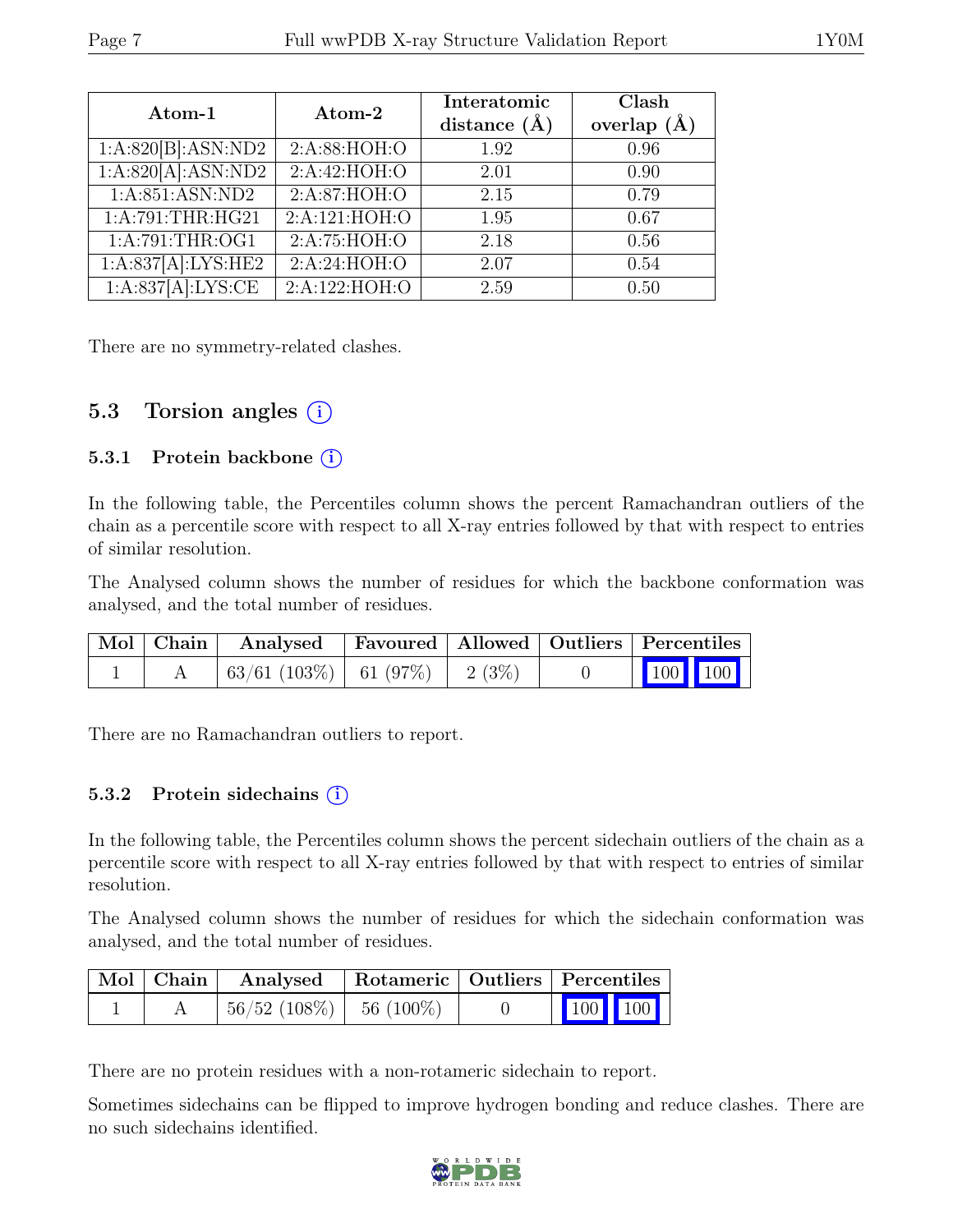| Atom-1             | Atom-2          | Interatomic<br>distance $(\AA)$ | Clash<br>overlap $(\AA)$ |
|--------------------|-----------------|---------------------------------|--------------------------|
| 1:A:820[B]:ASN:ND2 | 2: A:88: HOH:O  | 1.92                            | 0.96                     |
| 1:A:820[A]:ASN:ND2 | 2:A:42:HOH:O    | 2.01                            | 0.90                     |
| 1:A:851:ASN:ND2    | 2: A:87: HOH:O  | 2.15                            | 0.79                     |
| 1:A:791:THR:HG21   | 2:A:121:HOH:O   | 1.95                            | 0.67                     |
| 1:A:791:THR:OG1    | 2:A:75:HOH:O    | 2.18                            | 0.56                     |
| 1:A:837[A]:LYS:HE2 | 2:A:24:HOH:O    | 2.07                            | 0.54                     |
| 1:A:837[A]:LYS:CE  | 2: A:122: HOH:O | 2.59                            | 0.50                     |

There are no symmetry-related clashes.

### 5.3 Torsion angles  $(i)$

#### 5.3.1 Protein backbone (i)

In the following table, the Percentiles column shows the percent Ramachandran outliers of the chain as a percentile score with respect to all X-ray entries followed by that with respect to entries of similar resolution.

The Analysed column shows the number of residues for which the backbone conformation was analysed, and the total number of residues.

|  | Mol   Chain   Analysed   Favoured   Allowed   Outliers   Percentiles |  |                             |  |
|--|----------------------------------------------------------------------|--|-----------------------------|--|
|  | $\mid 63/61 \; (103\%) \mid 61 \; (97\%) \mid 2 \; (3\%)$            |  | $\boxed{100}$ $\boxed{100}$ |  |

There are no Ramachandran outliers to report.

#### 5.3.2 Protein sidechains (i)

In the following table, the Percentiles column shows the percent sidechain outliers of the chain as a percentile score with respect to all X-ray entries followed by that with respect to entries of similar resolution.

The Analysed column shows the number of residues for which the sidechain conformation was analysed, and the total number of residues.

|  | Mol   Chain   Analysed   Rotameric   Outliers   Percentiles |  |                                                          |  |
|--|-------------------------------------------------------------|--|----------------------------------------------------------|--|
|  | $\mid 56/52 \; (108\%) \mid 56 \; (100\%)$                  |  | $\begin{array}{ c c c }\n\hline\n100 & 100\n\end{array}$ |  |

There are no protein residues with a non-rotameric sidechain to report.

Sometimes sidechains can be flipped to improve hydrogen bonding and reduce clashes. There are no such sidechains identified.

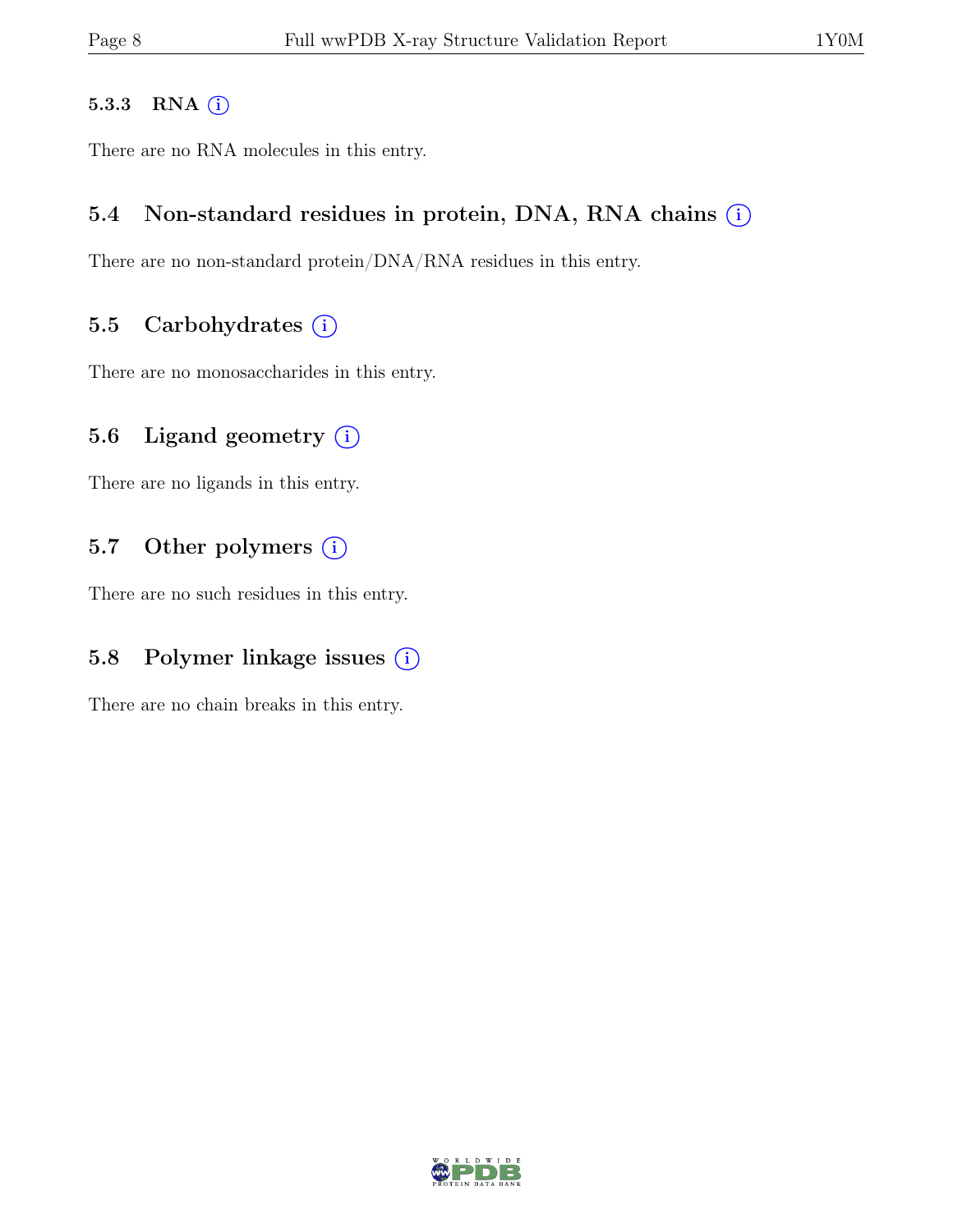#### 5.3.3 RNA  $(i)$

There are no RNA molecules in this entry.

#### 5.4 Non-standard residues in protein, DNA, RNA chains  $(i)$

There are no non-standard protein/DNA/RNA residues in this entry.

#### 5.5 Carbohydrates  $(i)$

There are no monosaccharides in this entry.

#### 5.6 Ligand geometry  $(i)$

There are no ligands in this entry.

#### 5.7 Other polymers  $(i)$

There are no such residues in this entry.

### 5.8 Polymer linkage issues  $(i)$

There are no chain breaks in this entry.